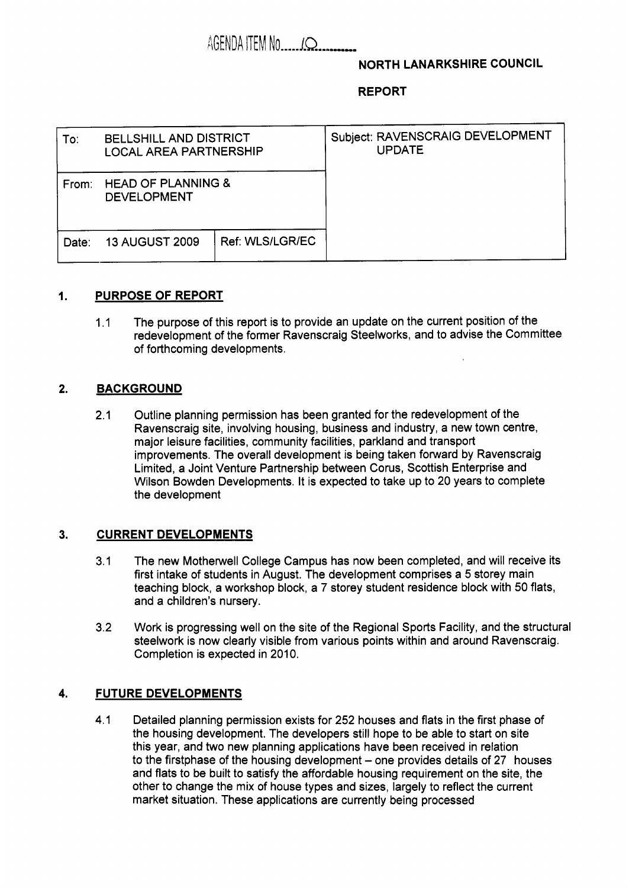# **NORTH LANARKSHIRE COUNCIL**

## **REPORT**

| To∶   | <b>BELLSHILL AND DISTRICT</b><br><b>LOCAL AREA PARTNERSHIP</b> |                 | Subject: RAVENSCRAIG DEVELOPMENT<br><b>UPDATE</b> |
|-------|----------------------------------------------------------------|-----------------|---------------------------------------------------|
| From: | <b>HEAD OF PLANNING &amp;</b><br><b>DEVELOPMENT</b>            |                 |                                                   |
| Date: | <b>13 AUGUST 2009</b>                                          | Ref: WLS/LGR/EC |                                                   |

## **1. PURPOSE OF REPORT**

1.1 The purpose of this report is to provide an update on the current position of the redevelopment of the former Ravenscraig Steelworks, and to advise the Committee of forthcoming developments.

## **2. BACKGROUND**

2.1 Outline planning permission has been granted for the redevelopment of the Ravenscraig site, involving housing, business and industry, a new town centre, major leisure facilities, community facilities, parkland and transport improvements. The overall development is being taken forward by Ravenscraig Limited, a Joint Venture Partnership between Corus, Scottish Enterprise and Wilson Bowden Developments. It is expected to take up to 20 years to complete the development

#### **3. CURRENT DEVELOPMENTS**

- 3.1 The new Motherwell College Campus has now been completed, and will receive its first intake of students in August. The development comprises a *5* storey main teaching block, a workshop block, a 7 storey student residence block with 50 flats, and a children's nursery.
- 3.2 Work is progressing well on the site of the Regional Sports Facility, and the structural steelwork is now clearly visible from various points within and around Ravenscraig. Completion is expected in 2010.

## **4. FUTURE DEVELOPMENTS**

4.1 Detailed planning permission exists for 252 houses and flats in the first phase of the housing development. The developers still hope to be able to start on site this year, and two new planning applications have been received in relation to the firstphase of the housing development  $-$  one provides details of 27 houses and flats to be built to satisfy the affordable housing requirement on the site, the other to change the mix of house types and sizes, largely to reflect the current market situation. These applications are currently being processed